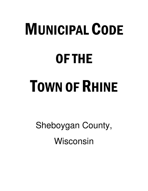# MUNICIPAL CODE OF THE TOWN OF RHINE

Sheboygan County, Wisconsin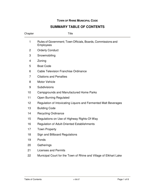# **TOWN OF RHINE MUNICIPAL CODE**

# **SUMMARY TABLE OF CONTENTS**

| Chapter        | <b>Title</b>                                                                     |
|----------------|----------------------------------------------------------------------------------|
| 1              | Rules of Government; Town Officials, Boards, Commissions and<br><b>Employees</b> |
| $\overline{2}$ | <b>Orderly Conduct</b>                                                           |
| 3              | Snowmobiling                                                                     |
| 4              | Zoning                                                                           |
| 5              | <b>Boat Code</b>                                                                 |
| 6              | <b>Cable Television Franchise Ordinance</b>                                      |
| 7              | <b>Citations and Penalties</b>                                                   |
| 8              | <b>Motor Vehicle</b>                                                             |
| 9              | Subdivisions                                                                     |
| 10             | Campgrounds and Manufactured Home Parks                                          |
| 11             | <b>Open Burning Regulated</b>                                                    |
| 12             | Regulation of Intoxicating Liquors and Fermented Malt Beverages                  |
| 13             | <b>Building Code</b>                                                             |
| 14             | <b>Recycling Ordinance</b>                                                       |
| 15             | Regulations on Use of Highway Rights-Of-Way                                      |
| 16             | <b>Regulation of Adult-Oriented Establishments</b>                               |
| 17             | <b>Town Property</b>                                                             |
| 18             | Sign and Billboard Regulations                                                   |
| 19             | Ponds                                                                            |
| 20             | Gatherings                                                                       |
| 21             | <b>Licenses and Permits</b>                                                      |
| 22             | Municipal Court for the Town of Rhine and Village of Elkhart Lake                |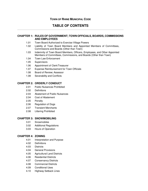# **TOWN OF RHINE MUNICIPAL CODE**

# **TABLE OF CONTENTS**

# **CHAPTER 1: RULES OF GOVERNMENT; TOWN OFFICIALS, BOARDS, COMMISSIONS AND EMPLOYEES**

- 1.01 Town Board Authorized to Exercise Village Powers
- 1.02 Liability of Town Board Members and Appointed Members of Committees, Commissions and Boards (Other than Town)
- 1.03 Indemnity of Town Board Members, Officers, Employees, and Other Appointed Members of Committees, Commissions, and Boards (Other than Town)
- 1.04 Town Law Enforcement
- 1.05 Supervisors
- 1.06 Appointment of Clerk/Treasurer
- 1.07 Expense Reimbursement for Town Officials
- 1.08 Board of Review; Assessor
- 1.08 Severability and Conflicts

#### **CHAPTER 2: ORDERLY CONDUCT**

- 2.01 Public Nuisances Prohibited
- 2.02 Definitions
- 2.03 Abatement of Public Nuisances
- 2.04 Cost of Abatement
- 2.05 Penalty
- 2.06 Regulation of Dogs
- 2.07 Transient Merchants
- 2.08 Littering Prohibited

#### **CHAPTER 3: SNOWMOBILING**

- 3.01 Snowmobiles
- 3.02 Additional Regulations
- 3.03 Hours of Operation

#### **CHAPTER 4: ZONING**

- 4.01 Interpretation and Purpose
- 4.02 Definitions
- 4.03 Districts
- 4.04 General Provisions
- 4.05 Agricultural Land Districts
- 4.06 Residential Districts
- 4.07 Conservancy Districts
- 4.08 Commercial Districts
- 4.09 Conditional Uses
- 4.10 Highway Setback Lines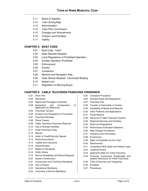- 4.11 Board of Appeals
- 4.12 Town Zoning Map
- 4.13 Administration
- 4.14 Town Plan Commission
- 4.15 Changes and Amendments
- 4.16 Violation and Penalties
- 4.17 Validity

# **CHAPTER 5: BOAT CODE**

- 5.01 Boat Code Intent
- 5.02 State Statutes Adopted
- 5.03 Local Regulations of Prohibited Operation
- 5.04 Sunday Operation Prohibited
- 5.05 Enforcement
- 5.06 Penalty
- 5.07 Jurisdiction
- 5.08 Markers and Navigation Aids.
- 5.09 State Statute Adopted Intoxicated Boating
- 5.10 Speed Limit
- 5.11 Regulation of Mooring Buoys

# **CHAPTER 6: CABLE TELEVISION FRANCHISE ORDINANCE**

- 6.01 Short Title
- 6.02 Definitions
- 6.03 Rights and Privileges of Grantee
- 6.04 Agreement and Incorporation of Application by Reference
- 6.05 Franchise Territory
- 6.06 Duration and Acceptance of Franchise
- 6.07 Franchise Renewal
- 6.08 Police Powers
- 6.09 Cable Television Franchise Required
- 6.10 Use of Grantee Facilities
- 6.11 Initial Franchise Costs
- 6.12 Notices
- 6.13 Letter of Credit/Security Deposit
- 6.14 Performance Bond
- 6.15 Liability and Insurance
- 6.16 Indemnification
- 6.17 Rights of Individuals
- 6.18 Public Notice
- 6.19 Service Availability and Record Request
- 6.20 System Construction
- 6.21 Construction and Technical Standards
- 6.22 Use of Streets
- 6.23 Operational Standards
- 6.24 Continuity of Service Mandatory
- 6.25 Complaint Procedure
- 6.26 Grantee Rules and Regulations
- 6.27 Franchise Fee
- 6.28 Transfer of Ownership or Control
- 6.29 Availability of Books and Records
- 6.30 Other Petitions and Applications
- 6.31 Fiscal Reports
- 6.32 Removal of Cable Television System
- 6.33 Required Services and Facilities
- 6.34 Rules and Regulations
- 6.35 Performance Evaluation Sessions
- 6.36 Rate Change Procedures
- 6.37 Forfeiture and Termination
- 6.38 Foreclosure
- 6.39 Right of Acquisition by the Town
- 6.40 Receivership
- 6.41 Compliance With State and Federal Laws
- 6.42 Landlord/Tenant
- 6.43 Applicant's Bids For Initial Franchise
- 6.44 Financial, Contractual, Shareholder and System Disclosure for Initial Franchises
- 6.45 Theft of Services and Tampering
- 6.46 Penalties
- 6.47 Procedures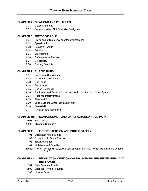# **CHAPTER 7: CITATIONS AND PENALTIES**

- 7.01 Citation Authority
- 7.02 Penalties: When Not Otherwise Designated

#### **CHAPTER 8: MOTOR VEHICLE**

- 8.01 Provisions of State Law Adopted by Reference
- 8.02 Speed Limits
- 8.03 Accident Reports
- 8.04 Penalty
- 8.05 Enforcement
- 8.06 References to Statutes
- 8.07 Severability
- 8.08 Parking Restricted

#### **CHAPTER 9: SUBDIVISIONS**

- 9.01 Purpose of Regulations
- 9.02 General Requirements
- 9.03 Definitions
- 9.04 Procedures
- 9.05 Design Standards
- 9.06 Dedication and Reservation of Land for Public Sites and Open Spaces
- 9.07 Required Improvements
- 9.08 Plats and Data
- 9.09 Land Divisions Other than Subdivision
- 9.10 Severability
- 9.11 Penalties and Remedies

#### **CHAPTER 10: CAMPGROUNDS AND MANUFACTURED HOME PARKS**

- 10.01 References
- 10.02 Minimum Standards

#### **CHAPTER 11: FIRE PROTECTION AND PUBLIC SAFETY**

- 11.01 Open Burning Regulated
- 11.02 Exceptions to Open Burning
- 11.03 Special Charges
- 11.04 Violations and Penalties
- Exhibit 11.01A: Wisconsin Statewide Law on Open Burning: Which Materials are Legal to Burn?

# **CHAPTER 12: REGULATION OF INTOXICATING LIQUORS AND FERMENTED MALT BEVERAGES**

- 12.01 State Statutes Adopted
- 12.02 Licenses When Required
- 12.03 License Fees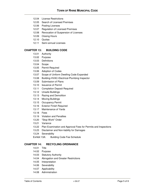- 12.04 License Restrictions
- 12.05 Search of Licensed Premises
- 12.06 Posting Licenses
- 12.07 Regulation of Licensed Premises
- 12.08 Revocation of Suspension of Licenses
- 12.09 Closing Hours
- 12.10 Quotas
- 12.11 Semi-annual Licenses

# **CHAPTER 13: BUILDING CODE**

- 13.01 Authority
- 13.02 Purpose
- 13.03 Definitions
- 13.04 Scope
- 13.05 Permit Required
- 13.06 Adoption of Codes
- 13.07 Scope of Uniform Dwelling Code Expanded
- 13.08 Building-HVAC-Electrical-Plumbing Inspector
- 13.09 Submission of Plans
- 13.10 Issuance of Permit
- 13.11 Completion Deposit Required
- 13.12 Unsafe Buildings
- 13.13 Razing and Demolition
- 13.14 Moving Buildings
- 13.15 Occupancy Permit
- 13.16 Exterior Finish Required
- 13.17 Maintenance of Yards
- 13.18 Fees
- 13.19 Violation and Penalties
- 13.20 "Stop Work" Order
- 13.21 Variance
- 13.22 Plan Examination and Approval Fees for Permits and Inspections
- 13.23 Disclaimer and Non-liability for Damages
- 13.24 Severability
- Exhibit 13A: Building Code Fee Schedule

# **CHAPTER 14: RECYCLING ORDINANCE**

- 14.01 Title
- 14.02 Purpose
- 14.03 Statutory Authority
- 14.04 Abrogation and Greater Restrictions
- 14.05 Interpretation
- 14.06 Severability
- 14.07 Applicability
- 14.08 Administration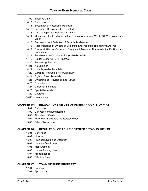- 14.09 Effective Date
- 14.10 Definitions
- 14.11 Separation of Recyclable Materials
- 14.12 Separation Requirements Exempted
- 14.13 Care of Separated Recyclable Material
- 14.14 Management of Lead Acid Batteries, Major Appliances, Waste Oil, Yard Waste and Brush
- 14.15 Preparation and Collection of Recyclable Materials
- 14.16 Responsibilities of Owners or Designated Agents of Multiple-family Dwellings
- 14.17 Responsibilities of Owners or Designated Agents of Non-residential Facilities and **Properties**
- 14.18 Prohibitions on Disposal of Recyclable Materials
- 14.19 Hauler Licensing DNR Approval
- 14.20 Processing Facilities
- 14.21 No Dumping
- 14.22 Non-disposable Materials
- 14.23 Garbage from Outside of Municipality
- 14.24 Right to Reject Materials
- 14.25 Ownership of Recyclables and Refuse
- 14.26 Exemptions
- 14.27 Collection Schedule
- 14.28 Special Materials
- 14.29 Charges
- 14.30 Enforcement

#### **CHAPTER 15: REGULATIONS ON USE OF HIGHWAY RIGHTS-OF-WAY**

- 15.01 Definitions
- 15.02 Cultivation and Landscaping
- 15.03 Alteration of Grade
- 15.04 Mailboxes, Signs, and Newspaper Boxes
- 15.05 Other Obstructions

#### **CHAPTER 16: REGULATION OF ADULT-ORIENTED ESTABLISHMENTS**

- 16.01 Definitions
- 16.02 License
- 16.03 Physical Layout and Operation
- 16.04 Location Restrictions
- 16.05 Measurement
- 16.06 Nonconforming Uses
- 16.07 Miscellaneous
- 16.08 Effective Date

#### **CHAPTER 17: TOWN OF RHINE PROPERTY**

- 17.01 Purpose
- 17.02 Applicability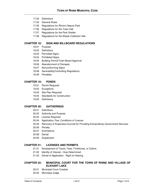- 17.03 Definitions
- 17.04 General Rules
- 17.05 Regulations for Rhine's Nature Park
- 17.06 Regulations for the Town Hall
- 17.07 Regulations for the Park Shelter
- 17.08 Regulations for the Waste Collection Site

# **CHAPTER 18: SIGN AND BILLBOARD REGULATIONS**

- 18.01 Purpose
- 18.02 Definitions
- 18.03 Permitted Signs
- 18.04 Prohibited Signs
- 18.05 Building Permit/Town Board Approval
- 18.06 Abandonment of Disrepair
- 18.07 Nonconforming Signs
- 18.08 Severability/Controlling Regulations
- 18.09 Penalties

#### **CHAPTER 19: PONDS**

- 19.01 Permit Required
- 19.02 Exceptions
- 19.03 Site Plan Required
- 19.04 Standards for Construction
- 19.05 Definitions

#### **CHAPTER 20: GATHERINGS**

- 20.01 Definitions
- 20.02 Authority and Purpose
- 20.03 License Required
- 20.04 Application; Fee; Conditions of License
- 20.05 Recovery of Expenses Incurred for Providing Extraordinary Government Services
- 20.06 Penalty
- 20.07 Exemptions
- 20.08 Denial
- 20.09 Suspension

# **CHAPTER 21: LICENSES AND PERMITS**

- 21.01 Nonpayment of Taxes, Fees, Forfeitures, or Claims
- 21.02 Identity of Interest How Determined
- 21.03 Denial of Application Right to Hearing

# **CHAPTER 22: MUNICIPAL COURT FOR THE TOWN OF RHINE AND VILLAGE OF ELKHART LAKE**

- 22.01 Municipal Court Created
- 22.02 Municipal Judge